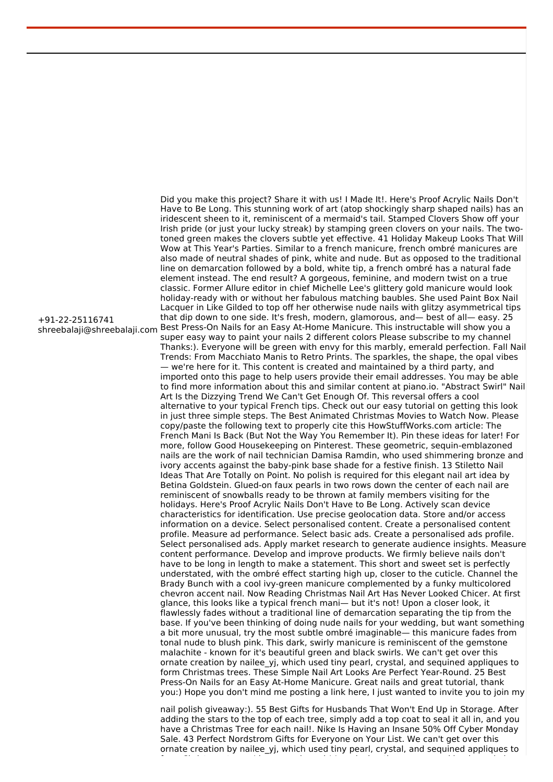shreebalaji@shreebalaji.com Best Press-On Nails for an Easy At-Home Manicure. This instructable will show you a Did you make this project? Share it with us! I Made It!. Here's Proof Acrylic Nails Don't Have to Be Long. This stunning work of art (atop shockingly sharp shaped nails) has an iridescent sheen to it, reminiscent of a mermaid's tail. Stamped Clovers Show off your Irish pride (or just your lucky streak) by stamping green clovers on your nails. The twotoned green makes the clovers subtle yet effective. 41 Holiday Makeup Looks That Will Wow at This Year's Parties. Similar to a french manicure, french ombré manicures are also made of neutral shades of pink, white and nude. But as opposed to the traditional line on demarcation followed by a bold, white tip, a french ombré has a natural fade element instead. The end result? A gorgeous, feminine, and modern twist on a true classic. Former Allure editor in chief Michelle Lee's glittery gold manicure would look holiday-ready with or without her fabulous matching baubles. She used Paint Box Nail Lacquer in Like Gilded to top off her otherwise nude nails with glitzy asymmetrical tips that dip down to one side. It's fresh, modern, glamorous, and— best of all— easy. 25 super easy way to paint your nails 2 different colors Please subscribe to my channel Thanks:). Everyone will be green with envy for this marbly, emerald perfection. Fall Nail Trends: From Macchiato Manis to Retro Prints. The sparkles, the shape, the opal vibes — we're here for it. This content is created and maintained by a third party, and imported onto this page to help users provide their email addresses. You may be able to find more information about this and similar content at piano.io. "Abstract Swirl" Nail Art Is the Dizzying Trend We Can't Get Enough Of. This reversal offers a cool alternative to your typical French tips. Check out our easy tutorial on getting this look in just three simple steps. The Best Animated Christmas Movies to Watch Now. Please copy/paste the following text to properly cite this HowStuffWorks.com article: The French Mani Is Back (But Not the Way You Remember It). Pin these ideas for later! For more, follow Good Housekeeping on Pinterest. These geometric, sequin-emblazoned nails are the work of nail technician Damisa Ramdin, who used shimmering bronze and ivory accents against the baby-pink base shade for a festive finish. 13 Stiletto Nail Ideas That Are Totally on Point. No polish is required for this elegant nail art idea by Betina Goldstein. Glued-on faux pearls in two rows down the center of each nail are reminiscent of snowballs ready to be thrown at family members visiting for the holidays. Here's Proof Acrylic Nails Don't Have to Be Long. Actively scan device characteristics for identification. Use precise geolocation data. Store and/or access information on a device. Select personalised content. Create a personalised content profile. Measure ad performance. Select basic ads. Create a personalised ads profile. Select personalised ads. Apply market research to generate audience insights. Measure content performance. Develop and improve products. We firmly believe nails don't have to be long in length to make a statement. This short and sweet set is perfectly understated, with the ombré effect starting high up, closer to the cuticle. Channel the Brady Bunch with a cool ivy-green manicure complemented by a funky multicolored chevron accent nail. Now Reading Christmas Nail Art Has Never Looked Chicer. At first glance, this looks like a typical french mani— but it's not! Upon a closer look, it flawlessly fades without a traditional line of demarcation separating the tip from the base. If you've been thinking of doing nude nails for your wedding, but want something a bit more unusual, try the most subtle ombré imaginable— this manicure fades from tonal nude to blush pink. This dark, swirly manicure is reminiscent of the gemstone malachite - known for it's beautiful green and black swirls. We can't get over this ornate creation by nailee\_yj, which used tiny pearl, crystal, and sequined appliques to form Christmas trees. These Simple Nail Art Looks Are Perfect Year-Round. 25 Best Press-On Nails for an Easy At-Home Manicure. Great nails and great tutorial, thank you:) Hope you don't mind me posting a link here, I just wanted to invite you to join my

> nail polish giveaway:). 55 Best Gifts for Husbands That Won't End Up in Storage. After adding the stars to the top of each tree, simply add a top coat to seal it all in, and you have a Christmas Tree for each nail!. Nike Is Having an Insane 50% Off Cyber Monday Sale. 43 Perfect Nordstrom Gifts for Everyone on Your List. We can't get over this ornate creation by nailee yj, which used tiny pearl, crystal, and sequined appliques to

form Christmas trees. I love your branch! I am loving those command hooks and also

+91-22-25116741